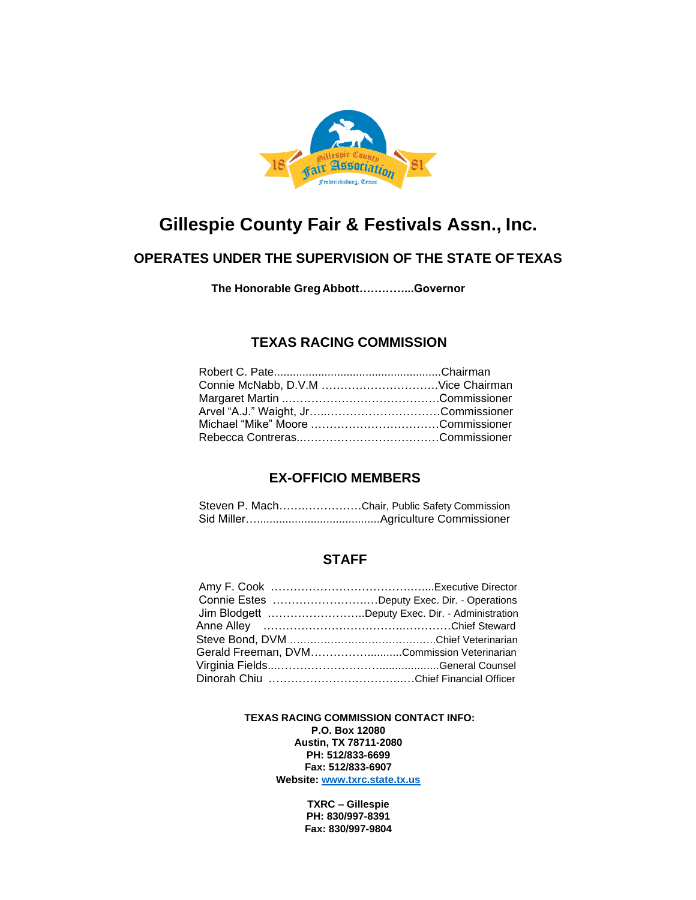

## **Gillespie County Fair & Festivals Assn., Inc.**

## **OPERATES UNDER THE SUPERVISION OF THE STATE OF TEXAS**

 **The Honorable Greg Abbott…………...Governor**

## **TEXAS RACING COMMISSION**

### **EX-OFFICIO MEMBERS**

| Steven P. MachChair, Public Safety Commission |  |
|-----------------------------------------------|--|
|                                               |  |

### **STAFF**

| Connie Estes Deputy Exec. Dir. - Operations     |
|-------------------------------------------------|
| Jim Blodgett Deputy Exec. Dir. - Administration |
|                                                 |
|                                                 |
| Gerald Freeman, DVMCommission Veterinarian      |
|                                                 |
|                                                 |

 **TEXAS RACING COMMISSION CONTACT INFO: P.O. Box 12080 Austin, TX 78711-2080 PH: 512/833-6699 Fax: 512/833-6907 Website: [www.txrc.state.tx.us](http://www.txrc.state.tx.us/)**

> **TXRC – Gillespie PH: 830/997-8391 Fax: 830/997-9804**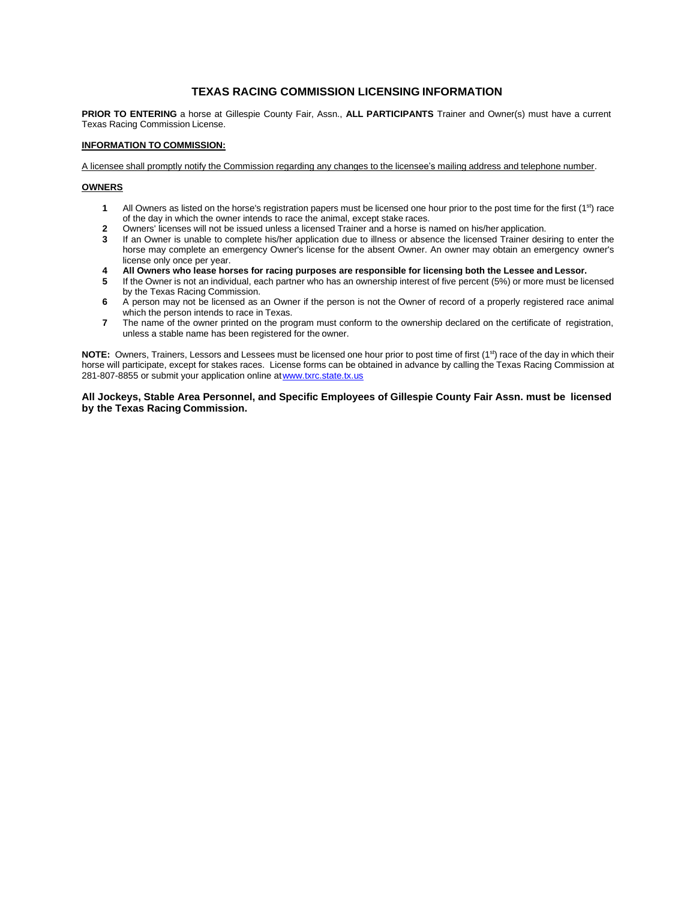#### **TEXAS RACING COMMISSION LICENSING INFORMATION**

**PRIOR TO ENTERING** a horse at Gillespie County Fair, Assn., **ALL PARTICIPANTS** Trainer and Owner(s) must have a current Texas Racing Commission License.

#### **INFORMATION TO COMMISSION:**

A licensee shall promptly notify the Commission regarding any changes to the licensee's mailing address and telephone number.

#### **OWNERS**

- **1** All Owners as listed on the horse's registration papers must be licensed one hour prior to the post time for the first (1<sup>st</sup>) race of the day in which the owner intends to race the animal, except stake races.
- **2** Owners' licenses will not be issued unless a licensed Trainer and a horse is named on his/her application.
- **3** If an Owner is unable to complete his/her application due to illness or absence the licensed Trainer desiring to enter the horse may complete an emergency Owner's license for the absent Owner. An owner may obtain an emergency owner's license only once per year.
- **4 All Owners who lease horses for racing purposes are responsible for licensing both the Lessee and Lessor.**
- **5** If the Owner is not an individual, each partner who has an ownership interest of five percent (5%) or more must be licensed by the Texas Racing Commission.
- **6** A person may not be licensed as an Owner if the person is not the Owner of record of a properly registered race animal which the person intends to race in Texas.
- **7** The name of the owner printed on the program must conform to the ownership declared on the certificate of registration, unless a stable name has been registered for the owner.

**NOTE:** Owners, Trainers, Lessors and Lessees must be licensed one hour prior to post time of first (1<sup>st</sup>) race of the day in which their horse will participate, except for stakes races. License forms can be obtained in advance by calling the Texas Racing Commission at 281-807-8855 or submit your application online a[twww.txrc.state.tx.us](http://www.txrc.state.tx.us/)

**All Jockeys, Stable Area Personnel, and Specific Employees of Gillespie County Fair Assn. must be licensed by the Texas Racing Commission.**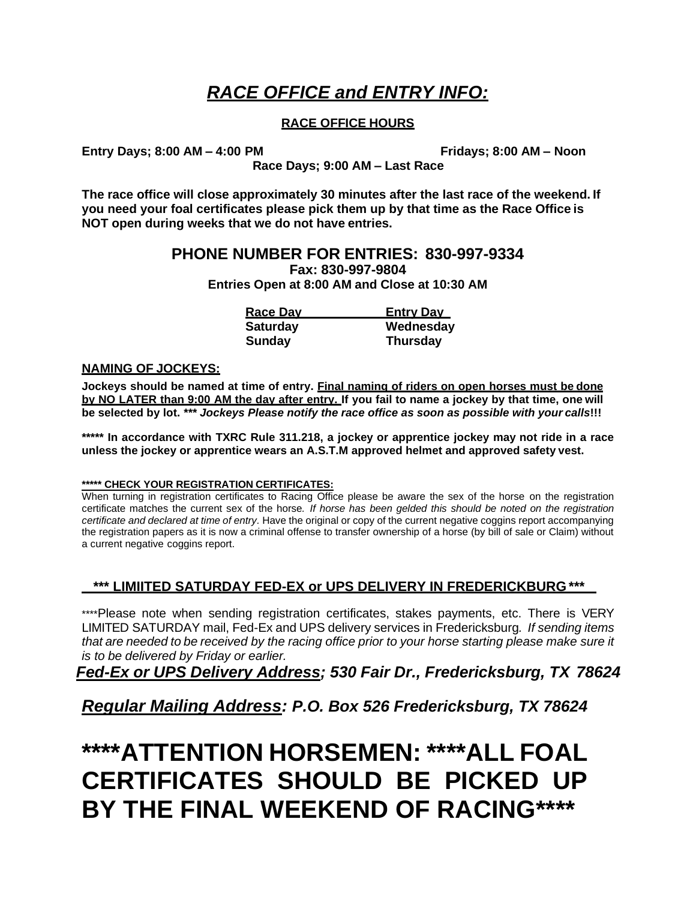## *RACE OFFICE and ENTRY INFO:*

## **RACE OFFICE HOURS**

**Entry Days; 8:00 AM – 4:00 PM Fridays; 8:00 AM – Noon**

**Race Days; 9:00 AM – Last Race**

**The race office will close approximately 30 minutes after the last race of the weekend. If you need your foal certificates please pick them up by that time as the Race Office is NOT open during weeks that we do not have entries.**

## **PHONE NUMBER FOR ENTRIES: 830-997-9334**

**Fax: 830-997-9804**

**Entries Open at 8:00 AM and Close at 10:30 AM**

| <b>Race Day</b> | <b>Entry Day</b> |
|-----------------|------------------|
| <b>Saturday</b> | Wednesday        |
| <b>Sunday</b>   | <b>Thursday</b>  |

### **NAMING OF JOCKEYS:**

**Jockeys should be named at time of entry. Final naming of riders on open horses must be done by NO LATER than 9:00 AM the day after entry. If you fail to name a jockey by that time, one will be selected by lot.** *\*\*\* Jockeys Please notify the race office as soon as possible with your calls***!!!**

**\*\*\*\*\* In accordance with TXRC Rule 311.218, a jockey or apprentice jockey may not ride in a race unless the jockey or apprentice wears an A.S.T.M approved helmet and approved safety vest.**

### **\*\*\*\*\* CHECK YOUR REGISTRATION CERTIFICATES:**

When turning in registration certificates to Racing Office please be aware the sex of the horse on the registration certificate matches the current sex of the horse*. If horse has been gelded this should be noted on the registration certificate and declared at time of entry.* Have the original or copy of the current negative coggins report accompanying the registration papers as it is now a criminal offense to transfer ownership of a horse (by bill of sale or Claim) without a current negative coggins report.

## **\*\*\* LIMIITED SATURDAY FED-EX or UPS DELIVERY IN FREDERICKBURG \*\*\***

\*\*\*\*Please note when sending registration certificates, stakes payments, etc. There is VERY LIMITED SATURDAY mail, Fed-Ex and UPS delivery services in Fredericksburg*. If sending items* that are needed to be received by the racing office prior to your horse starting please make sure it *is to be delivered by Friday or earlier.*

*Fed-Ex or UPS Delivery Address; 530 Fair Dr., Fredericksburg, TX 78624*

*Regular Mailing Address: P.O. Box 526 Fredericksburg, TX 78624*

# **\*\*\*\*ATTENTION HORSEMEN: \*\*\*\*ALL FOAL CERTIFICATES SHOULD BE PICKED UP BY THE FINAL WEEKEND OF RACING\*\*\*\***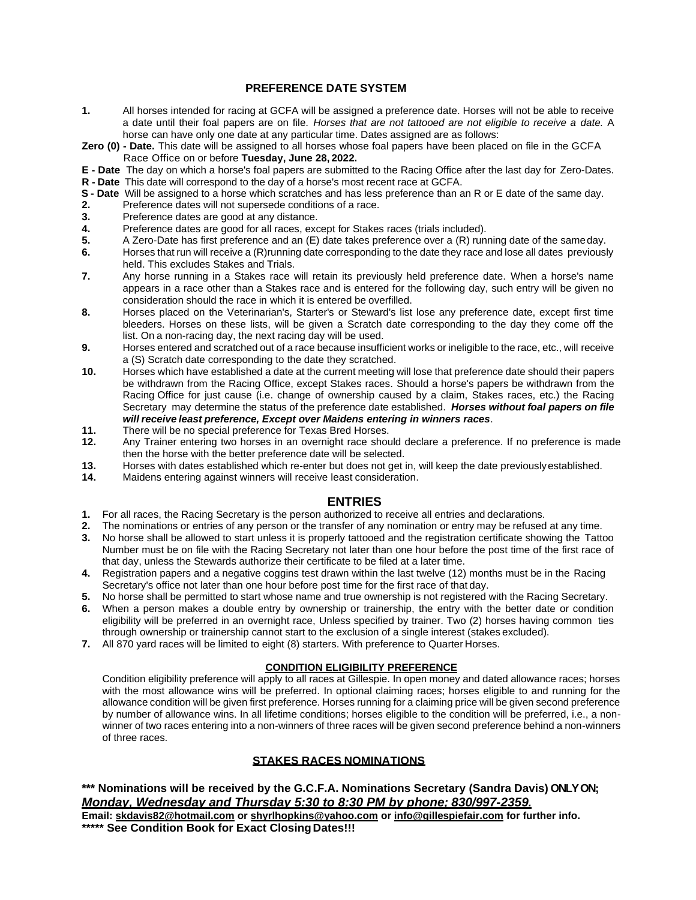### **PREFERENCE DATE SYSTEM**

- **1.** All horses intended for racing at GCFA will be assigned a preference date. Horses will not be able to receive a date until their foal papers are on file. *Horses that are not tattooed are not eligible to receive a date.* A horse can have only one date at any particular time. Dates assigned are as follows:
- **Zero (0) - Date.** This date will be assigned to all horses whose foal papers have been placed on file in the GCFA Race Office on or before **Tuesday, June 28, 2022.**

**E - Date** The day on which a horse's foal papers are submitted to the Racing Office after the last day for Zero-Dates.

- **R - Date** This date will correspond to the day of a horse's most recent race at GCFA. **S - Date** Will be assigned to a horse which scratches and has less preference than an R or E date of the same day.
- **2.** Preference dates will not supersede conditions of a race.
- **3.** Preference dates are good at any distance.
- **4.** Preference dates are good for all races, except for Stakes races (trials included).
- **5.** A Zero-Date has first preference and an (E) date takes preference over a (R) running date of the sameday.
- **6.** Horses that run will receive a (R)running date corresponding to the date they race and lose all dates previously held. This excludes Stakes and Trials.
- **7.** Any horse running in a Stakes race will retain its previously held preference date. When a horse's name appears in a race other than a Stakes race and is entered for the following day, such entry will be given no consideration should the race in which it is entered be overfilled.
- **8.** Horses placed on the Veterinarian's, Starter's or Steward's list lose any preference date, except first time bleeders. Horses on these lists, will be given a Scratch date corresponding to the day they come off the list. On a non-racing day, the next racing day will be used.
- **9.** Horses entered and scratched out of a race because insufficient works or ineligible to the race, etc., will receive a (S) Scratch date corresponding to the date they scratched.
- **10.** Horses which have established a date at the current meeting will lose that preference date should their papers be withdrawn from the Racing Office, except Stakes races. Should a horse's papers be withdrawn from the Racing Office for just cause (i.e. change of ownership caused by a claim, Stakes races, etc.) the Racing Secretary may determine the status of the preference date established. *Horses without foal papers on file will receive least preference, Except over Maidens entering in winners races*.
- **11.** There will be no special preference for Texas Bred Horses.
- **12.** Any Trainer entering two horses in an overnight race should declare a preference. If no preference is made then the horse with the better preference date will be selected.
- **13.** Horses with dates established which re-enter but does not get in, will keep the date previouslyestablished.
- **14.** Maidens entering against winners will receive least consideration.

### **ENTRIES**

- **1.** For all races, the Racing Secretary is the person authorized to receive all entries and declarations.
- **2.** The nominations or entries of any person or the transfer of any nomination or entry may be refused at any time.
- **3.** No horse shall be allowed to start unless it is properly tattooed and the registration certificate showing the Tattoo Number must be on file with the Racing Secretary not later than one hour before the post time of the first race of that day, unless the Stewards authorize their certificate to be filed at a later time.
- **4.** Registration papers and a negative coggins test drawn within the last twelve (12) months must be in the Racing Secretary's office not later than one hour before post time for the first race of that day.
- **5.** No horse shall be permitted to start whose name and true ownership is not registered with the Racing Secretary.
- **6.** When a person makes a double entry by ownership or trainership, the entry with the better date or condition eligibility will be preferred in an overnight race, Unless specified by trainer. Two (2) horses having common ties through ownership or trainership cannot start to the exclusion of a single interest (stakes excluded).
- **7.** All 870 yard races will be limited to eight (8) starters. With preference to Quarter Horses.

#### **CONDITION ELIGIBILITY PREFERENCE**

Condition eligibility preference will apply to all races at Gillespie. In open money and dated allowance races; horses with the most allowance wins will be preferred. In optional claiming races; horses eligible to and running for the allowance condition will be given first preference. Horses running for a claiming price will be given second preference by number of allowance wins. In all lifetime conditions; horses eligible to the condition will be preferred, i.e., a nonwinner of two races entering into a non-winners of three races will be given second preference behind a non-winners of three races.

### **STAKES RACES NOMINATIONS**

## **\*\*\* Nominations will be received by the G.C.F.A. Nominations Secretary (Sandra Davis) ONLY ON;** *Monday, Wednesday and Thursday 5:30 to 8:30 PM by phone; 830/997-2359.*

**Email[: skdavis82@hotmail.com](mailto:skdavis82@hotmail.com) or [shyrlhopkins@yahoo.com](mailto:shyrlhopkins@yahoo.com%20or) or [info@gillespiefair.com](mailto:info@gillespiefair.com) for further info. \*\*\*\*\* See Condition Book for Exact Closing Dates!!!**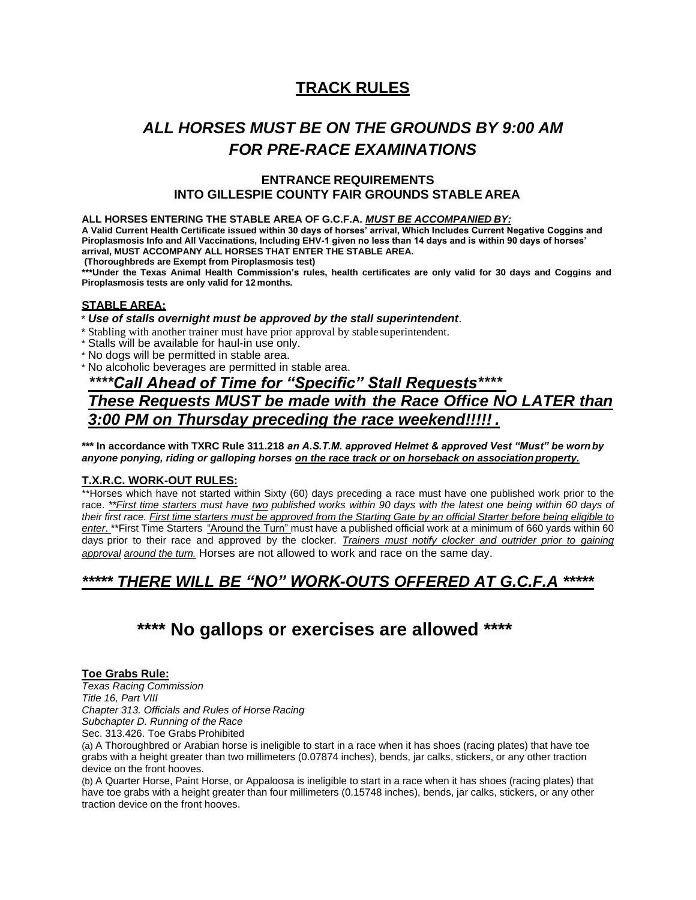## **TRACK RULES**

## *ALL HORSES MUST BE ON THE GROUNDS BY 9:00 AM FOR PRE-RACE EXAMINATIONS*

### **ENTRANCE REQUIREMENTS INTO GILLESPIE COUNTY FAIR GROUNDS STABLE AREA**

#### **ALL HORSES ENTERING THE STABLE AREA OF G.C.F.A.** *MUST BE ACCOMPANIED BY:*

**A Valid Current Health Certificate issued within 30 days of horses' arrival, Which Includes Current Negative Coggins and Piroplasmosis Info and All Vaccinations, Including EHV-1 given no less than 14 days and is within 90 days of horses' arrival, MUST ACCOMPANY ALL HORSES THAT ENTER THE STABLE AREA.**

**(Thoroughbreds are Exempt from Piroplasmosis test)**

\*\*\*Under the Texas Animal Health Commission's rules, health certificates are only valid for 30 days and Coggins and **Piroplasmosis tests are only valid for 12 months.**

### **STABLE AREA:**

#### \* *Use of stalls overnight must be approved by the stall superintendent*.

- \* Stabling with another trainer must have prior approval by stable superintendent.
- \* Stalls will be available for haul-in use only.
- \* No dogs will be permitted in stable area.
- \* No alcoholic beverages are permitted in stable area.

## *\*\*\*\*Call Ahead of Time for "Specific" Stall Requests\*\*\*\* These Requests MUST be made with the Race Office NO LATER than 3:00 PM on Thursday preceding the race weekend!!!!! .*

**\*\*\* In accordance with TXRC Rule 311.218** *an A.S.T.M. approved Helmet & approved Vest "Must" be worn by anyone ponying, riding or galloping horses on the race track or on horseback on associationproperty.*

#### **T.X.R.C. WORK-OUT RULES:**

\*\*Horses which have not started within Sixty (60) days preceding a race must have one published work prior to the race. \*\* First time starters must have two published works within 90 days with the latest one being within 60 days of their first race. First time starters must be approved from the Starting Gate by an official Starter before being eligible to *enter*. \*\*First Time Starters "Around the Turn" must have a published official work at a minimum of 660 yards within 60 days prior to their race and approved by the clocker. *Trainers must notify clocker and outrider prior to gaining approval around the turn.* Horses are not allowed to work and race on the same day.

## *\*\*\*\*\* THERE WILL BE "NO" WORK-OUTS OFFERED AT G.C.F.A \*\*\*\*\**

## **\*\*\*\* No gallops or exercises are allowed \*\*\*\***

#### **Toe Grabs Rule:**

*Texas Racing Commission Title 16, Part VIII Chapter 313. Officials and Rules of Horse Racing Subchapter D. Running of the Race* Sec. 313.426. Toe Grabs Prohibited

(a) A Thoroughbred or Arabian horse is ineligible to start in a race when it has shoes (racing plates) that have toe grabs with a height greater than two millimeters (0.07874 inches), bends, jar calks, stickers, or any other traction device on the front hooves.

(b) A Quarter Horse, Paint Horse, or Appaloosa is ineligible to start in a race when it has shoes (racing plates) that have toe grabs with a height greater than four millimeters (0.15748 inches), bends, jar calks, stickers, or any other traction device on the front hooves.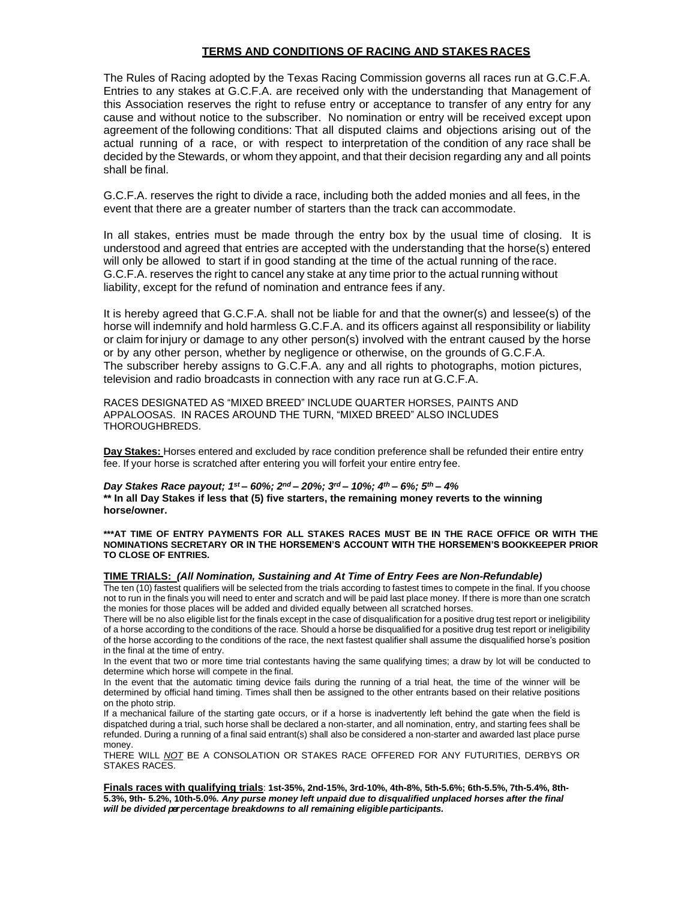#### **TERMS AND CONDITIONS OF RACING AND STAKES RACES**

The Rules of Racing adopted by the Texas Racing Commission governs all races run at G.C.F.A. Entries to any stakes at G.C.F.A. are received only with the understanding that Management of this Association reserves the right to refuse entry or acceptance to transfer of any entry for any cause and without notice to the subscriber. No nomination or entry will be received except upon agreement of the following conditions: That all disputed claims and objections arising out of the actual running of a race, or with respect to interpretation of the condition of any race shall be decided by the Stewards, or whom they appoint, and that their decision regarding any and all points shall be final.

G.C.F.A. reserves the right to divide a race, including both the added monies and all fees, in the event that there are a greater number of starters than the track can accommodate.

In all stakes, entries must be made through the entry box by the usual time of closing. It is understood and agreed that entries are accepted with the understanding that the horse(s) entered will only be allowed to start if in good standing at the time of the actual running of the race. G.C.F.A. reserves the right to cancel any stake at any time prior to the actual running without liability, except for the refund of nomination and entrance fees if any.

It is hereby agreed that G.C.F.A. shall not be liable for and that the owner(s) and lessee(s) of the horse will indemnify and hold harmless G.C.F.A. and its officers against all responsibility or liability or claim forinjury or damage to any other person(s) involved with the entrant caused by the horse or by any other person, whether by negligence or otherwise, on the grounds of G.C.F.A. The subscriber hereby assigns to G.C.F.A. any and all rights to photographs, motion pictures, television and radio broadcasts in connection with any race run at G.C.F.A.

RACES DESIGNATED AS "MIXED BREED" INCLUDE QUARTER HORSES, PAINTS AND APPALOOSAS. IN RACES AROUND THE TURN, "MIXED BREED" ALSO INCLUDES THOROUGHBREDS.

**Day Stakes:** Horses entered and excluded by race condition preference shall be refunded their entire entry fee. If your horse is scratched after entering you will forfeit your entire entry fee.

*Day Stakes Race payout; 1st – 60%; 2nd – 20%; 3rd – 10%; 4th – 6%; 5th – 4%* **\*\* In all Day Stakes if less that (5) five starters, the remaining money reverts to the winning horse/owner.**

**\*\*\*AT TIME OF ENTRY PAYMENTS FOR ALL STAKES RACES MUST BE IN THE RACE OFFICE OR WITH THE NOMINATIONS SECRETARY OR IN THE HORSEMEN'S ACCOUNT WITH THE HORSEMEN'S BOOKKEEPER PRIOR TO CLOSE OF ENTRIES.**

### **TIME TRIALS:** *(All Nomination, Sustaining and At Time of Entry Fees are Non-Refundable)*

The ten (10) fastest qualifiers will be selected from the trials according to fastest times to compete in the final. If you choose not to run in the finals you will need to enter and scratch and will be paid last place money. If there is more than one scratch the monies for those places will be added and divided equally between all scratched horses.

There will be no also eligible list for the finals except in the case of disqualification for a positive drug test report or ineligibility of a horse according to the conditions of the race. Should a horse be disqualified for a positive drug test report or ineligibility of the horse according to the conditions of the race, the next fastest qualifier shall assume the disqualified horse's position in the final at the time of entry.

In the event that two or more time trial contestants having the same qualifying times; a draw by lot will be conducted to determine which horse will compete in the final.

In the event that the automatic timing device fails during the running of a trial heat, the time of the winner will be determined by official hand timing. Times shall then be assigned to the other entrants based on their relative positions on the photo strip.

If a mechanical failure of the starting gate occurs, or if a horse is inadvertently left behind the gate when the field is dispatched during a trial, such horse shall be declared a non-starter, and all nomination, entry, and starting fees shall be refunded. During a running of a final said entrant(s) shall also be considered a non-starter and awarded last place purse money.

THERE WILL *NOT* BE A CONSOLATION OR STAKES RACE OFFERED FOR ANY FUTURITIES, DERBYS OR STAKES RACES.

**Finals races with qualifying trials**: **1st-35%, 2nd-15%, 3rd-10%, 4th-8%, 5th-5.6%; 6th-5.5%, 7th-5.4%, 8th-5.3%, 9th- 5.2%, 10th-5.0***%. Any purse money left unpaid due to disqualified unplaced horses after the final will be divided perpercentage breakdowns to all remaining eligible participants.*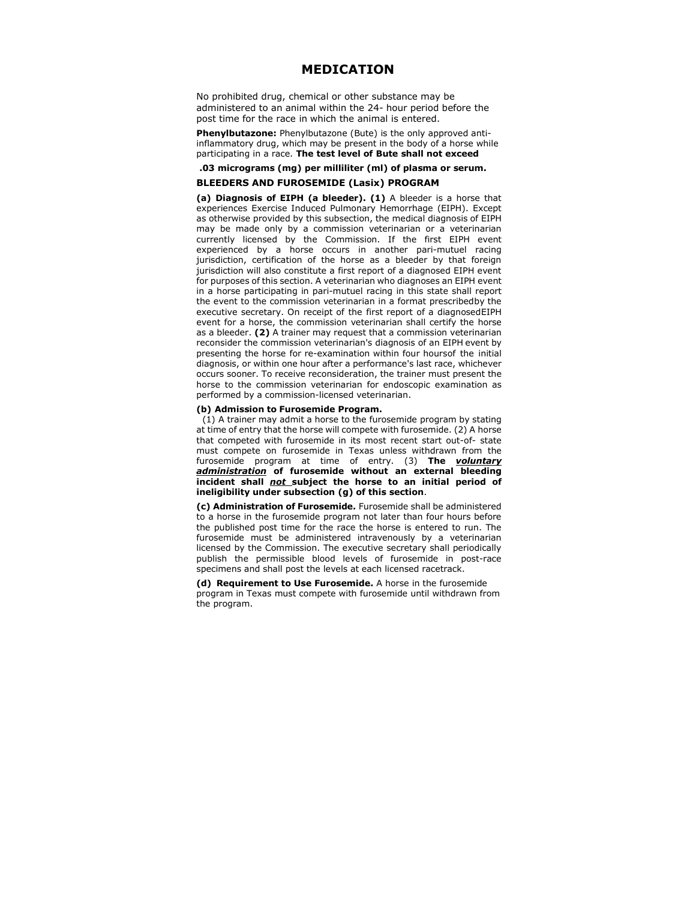#### **MEDICATION**

No prohibited drug, chemical or other substance may be administered to an animal within the 24- hour period before the post time for the race in which the animal is entered.

**Phenylbutazone:** Phenylbutazone (Bute) is the only approved antiinflammatory drug, which may be present in the body of a horse while participating in a race. **The test level of Bute shall not exceed**

#### **.03 micrograms (mg) per milliliter (ml) of plasma or serum.**

#### **BLEEDERS AND FUROSEMIDE (Lasix) PROGRAM**

**(a) Diagnosis of EIPH (a bleeder). (1)** A bleeder is a horse that experiences Exercise Induced Pulmonary Hemorrhage (EIPH). Except as otherwise provided by this subsection, the medical diagnosis of EIPH may be made only by a commission veterinarian or a veterinarian currently licensed by the Commission. If the first EIPH event experienced by a horse occurs in another pari-mutuel racing jurisdiction, certification of the horse as a bleeder by that foreign jurisdiction will also constitute a first report of a diagnosed EIPH event for purposes of this section. A veterinarian who diagnoses an EIPH event in a horse participating in pari-mutuel racing in this state shall report the event to the commission veterinarian in a format prescribedby the executive secretary. On receipt of the first report of a diagnosedEIPH event for a horse, the commission veterinarian shall certify the horse as a bleeder. **(2)** A trainer may request that a commission veterinarian reconsider the commission veterinarian's diagnosis of an EIPH event by presenting the horse for re-examination within four hoursof the initial diagnosis, or within one hour after a performance's last race, whichever occurs sooner. To receive reconsideration, the trainer must present the horse to the commission veterinarian for endoscopic examination as performed by a commission-licensed veterinarian.

#### **(b) Admission to Furosemide Program.**

(1) A trainer may admit a horse to the furosemide program by stating at time of entry that the horse will compete with furosemide. (2) A horse that competed with furosemide in its most recent start out-of- state must compete on furosemide in Texas unless withdrawn from the furosemide program at time of entry. (3) **The** *voluntary administration* **of furosemide without an external bleeding incident shall** *not* **subject the horse to an initial period of ineligibility under subsection (g) of this section**.

**(c) Administration of Furosemide.** Furosemide shall be administered to a horse in the furosemide program not later than four hours before the published post time for the race the horse is entered to run. The furosemide must be administered intravenously by a veterinarian licensed by the Commission. The executive secretary shall periodically publish the permissible blood levels of furosemide in post-race specimens and shall post the levels at each licensed racetrack.

**(d) Requirement to Use Furosemide.** A horse in the furosemide program in Texas must compete with furosemide until withdrawn from the program.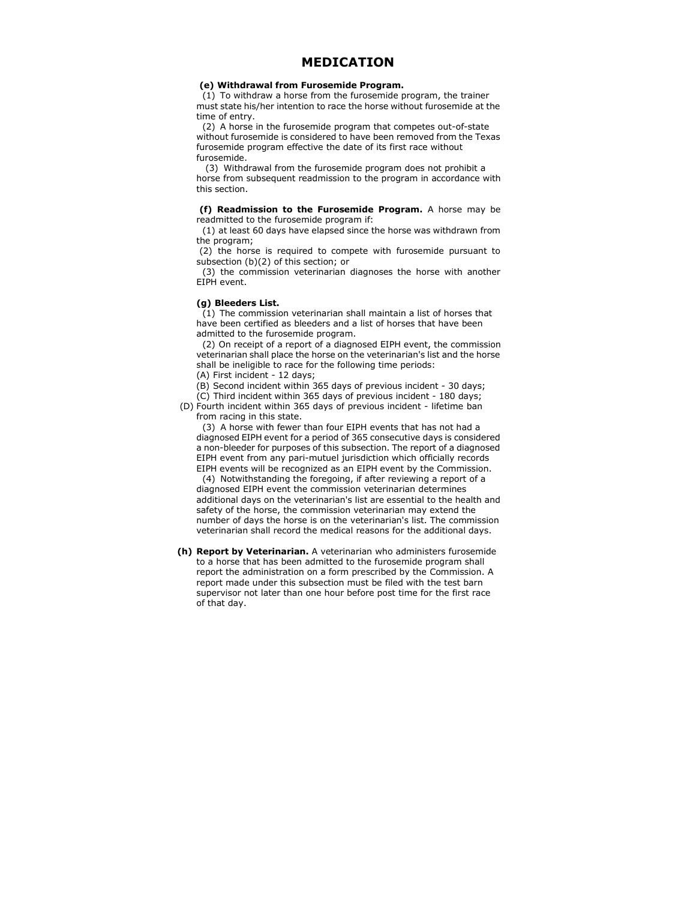#### **MEDICATION**

#### **(e) Withdrawal from Furosemide Program.**

(1) To withdraw a horse from the furosemide program, the trainer must state his/her intention to race the horse without furosemide at the time of entry.

(2) A horse in the furosemide program that competes out-of-state without furosemide is considered to have been removed from the Texas furosemide program effective the date of its first race without furosemide.

(3) Withdrawal from the furosemide program does not prohibit a horse from subsequent readmission to the program in accordance with this section.

**(f) Readmission to the Furosemide Program.** A horse may be readmitted to the furosemide program if:

(1) at least 60 days have elapsed since the horse was withdrawn from the program;

(2) the horse is required to compete with furosemide pursuant to subsection (b)(2) of this section; or

(3) the commission veterinarian diagnoses the horse with another EIPH event.

#### **(g) Bleeders List.**

(1) The commission veterinarian shall maintain a list of horses that have been certified as bleeders and a list of horses that have been admitted to the furosemide program.

(2) On receipt of a report of a diagnosed EIPH event, the commission veterinarian shall place the horse on the veterinarian's list and the horse shall be ineligible to race for the following time periods:

(A) First incident - 12 days;

(B) Second incident within 365 days of previous incident - 30 days; (C) Third incident within 365 days of previous incident - 180 days;

(D) Fourth incident within 365 days of previous incident - lifetime ban from racing in this state.

(3) A horse with fewer than four EIPH events that has not had a diagnosed EIPH event for a period of 365 consecutive days is considered a non-bleeder for purposes of this subsection. The report of a diagnosed EIPH event from any pari-mutuel jurisdiction which officially records EIPH events will be recognized as an EIPH event by the Commission.

(4) Notwithstanding the foregoing, if after reviewing a report of a diagnosed EIPH event the commission veterinarian determines additional days on the veterinarian's list are essential to the health and safety of the horse, the commission veterinarian may extend the number of days the horse is on the veterinarian's list. The commission veterinarian shall record the medical reasons for the additional days.

**(h) Report by Veterinarian.** A veterinarian who administers furosemide to a horse that has been admitted to the furosemide program shall report the administration on a form prescribed by the Commission. A report made under this subsection must be filed with the test barn supervisor not later than one hour before post time for the first race of that day.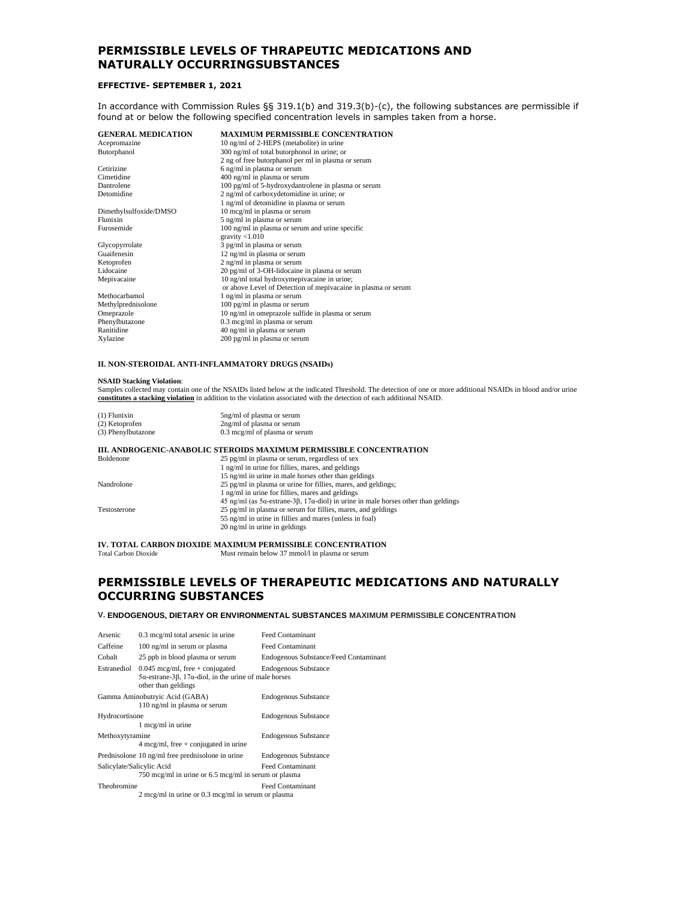### **PERMISSIBLE LEVELS OF THRAPEUTIC MEDICATIONS AND NATURALLY OCCURRINGSUBSTANCES**

#### **EFFECTIVE- SEPTEMBER 1, 2021**

In accordance with Commission Rules §§ 319.1(b) and 319.3(b)-(c), the following substances are permissible if found at or below the following specified concentration levels in samples taken from a horse.

| <b>GENERAL MEDICATION</b> | <b>MAXIMUM PERMISSIBLE CONCENTRATION</b>                      |
|---------------------------|---------------------------------------------------------------|
| Acepromazine              | 10 ng/ml of 2-HEPS (metabolite) in urine                      |
| Butorphanol               | 300 ng/ml of total butorphonol in urine; or                   |
|                           | 2 ng of free butorphanol per ml in plasma or serum            |
| Cetirizine                | 6 ng/ml in plasma or serum                                    |
| Cimetidine                | 400 ng/ml in plasma or serum                                  |
| Dantrolene                | 100 pg/ml of 5-hydroxydantrolene in plasma or serum           |
| Detomidine                | 2 ng/ml of carboxydetomidine in urine; or                     |
|                           | 1 ng/ml of detomidine in plasma or serum                      |
| Dimethylsulfoxide/DMSO    | 10 mcg/ml in plasma or serum                                  |
| Flunixin                  | 5 ng/ml in plasma or serum                                    |
| Furosemide                | 100 ng/ml in plasma or serum and urine specific               |
|                           | gravity $< 1.010$                                             |
| Glycopyrrolate            | 3 pg/ml in plasma or serum                                    |
| Guaifenesin               | 12 ng/ml in plasma or serum                                   |
| Ketoprofen                | 2 ng/ml in plasma or serum                                    |
| Lidocaine                 | 20 pg/ml of 3-OH-lidocaine in plasma or serum                 |
| Mepivacaine               | 10 ng/ml total hydroxymepivacaine in urine;                   |
|                           | or above Level of Detection of mepivacaine in plasma or serum |
| Methocarbamol             | 1 ng/ml in plasma or serum                                    |
| Methylprednisolone        | 100 pg/ml in plasma or serum                                  |
| Omeprazole                | 10 ng/ml in omeprazole sulfide in plasma or serum             |
| Phenylbutazone            | 0.3 mcg/ml in plasma or serum                                 |
| Ranitidine                | 40 ng/ml in plasma or serum                                   |
| Xylazine                  | 200 pg/ml in plasma or serum                                  |

#### **II. NON-STEROIDAL ANTI-INFLAMMATORY DRUGS (NSAIDs)**

#### **NSAID Stacking Violation**:

Samples collected may contain one of the NSAIDs listed below at the indicated Threshold. The detection of one or more additional NSAIDs in blood and/or urine **constitutes a stacking violation** in addition to the violation associated with the detection of each additional NSAID.

| $(1)$ Flunixin     | 5ng/ml of plasma or serum               |
|--------------------|-----------------------------------------|
| (2) Ketoprofen     | 2ng/ml of plasma or serum               |
| (3) Phenylbutazone | $0.3 \text{~mcg/ml}$ of plasma or serum |

#### **III. ANDROGENIC-ANABOLIC STEROIDS MAXIMUM PERMISSIBLE CONCENTRATION**

| Boldenone    | 25 pg/ml in plasma or serum, regardless of sex                                                              |
|--------------|-------------------------------------------------------------------------------------------------------------|
|              | 1 ng/ml in urine for fillies, mares, and geldings                                                           |
|              | 15 ng/ml in urine in male horses other than geldings                                                        |
| Nandrolone   | 25 pg/ml in plasma or urine for fillies, mares, and geldings;                                               |
|              | 1 ng/ml in urine for fillies, mares and geldings                                                            |
|              | $45$ ng/ml (as $5\alpha$ -estrane- $3\beta$ , $17\alpha$ -diol) in urine in male horses other than geldings |
| Testosterone | 25 pg/ml in plasma or serum for fillies, mares, and geldings                                                |
|              | 55 ng/ml in urine in fillies and mares (unless in foal)                                                     |
|              | $20$ ng/ml in urine in geldings                                                                             |

**IV. TOTAL CARBON DIOXIDE MAXIMUM PERMISSIBLE CONCENTRATION** Total Carbon Dioxide **Must remain below 37 mmol/l** in plasma or serum

Must remain below 37 mmol/l in plasma or serum

#### **PERMISSIBLE LEVELS OF THERAPEUTIC MEDICATIONS AND NATURALLY OCCURRING SUBSTANCES**

#### **V. ENDOGENOUS, DIETARY OR ENVIRONMENTAL SUBSTANCES MAXIMUM PERMISSIBLE CONCENTRATION**

| Arsenic                                          | 0.3 mcg/ml total arsenic in urine                                                                                                         | <b>Feed Contaminant</b>               |  |  |
|--------------------------------------------------|-------------------------------------------------------------------------------------------------------------------------------------------|---------------------------------------|--|--|
| Caffeine                                         | 100 ng/ml in serum or plasma                                                                                                              | <b>Feed Contaminant</b>               |  |  |
| Cobalt<br>25 ppb in blood plasma or serum        |                                                                                                                                           | Endogenous Substance/Feed Contaminant |  |  |
| Estranediol                                      | $0.045$ mcg/ml, free + conjugated<br>$5\alpha$ -estrane-3 $\beta$ , 17 $\alpha$ -diol, in the urine of male horses<br>other than geldings | <b>Endogenous Substance</b>           |  |  |
|                                                  | Gamma Aminobutryic Acid (GABA)<br>110 ng/ml in plasma or serum                                                                            | <b>Endogenous Substance</b>           |  |  |
| Hydrocortisone                                   | 1 mcg/ml in urine                                                                                                                         | <b>Endogenous Substance</b>           |  |  |
| Methoxytyramine                                  | $4 \text{~meg/ml}, \text{~free} + \text{conjugated in urine}$                                                                             | <b>Endogenous Substance</b>           |  |  |
| Prednisolone 10 ng/ml free prednisolone in urine |                                                                                                                                           | <b>Endogenous Substance</b>           |  |  |
| Salicylate/Salicylic Acid                        | 750 mcg/ml in urine or 6.5 mcg/ml in serum or plasma                                                                                      | <b>Feed Contaminant</b>               |  |  |
| Theobromine                                      | $2 \text{ mcg/ml}$ in urine or 0.3 mcg/ml in serum or plasma                                                                              | <b>Feed Contaminant</b>               |  |  |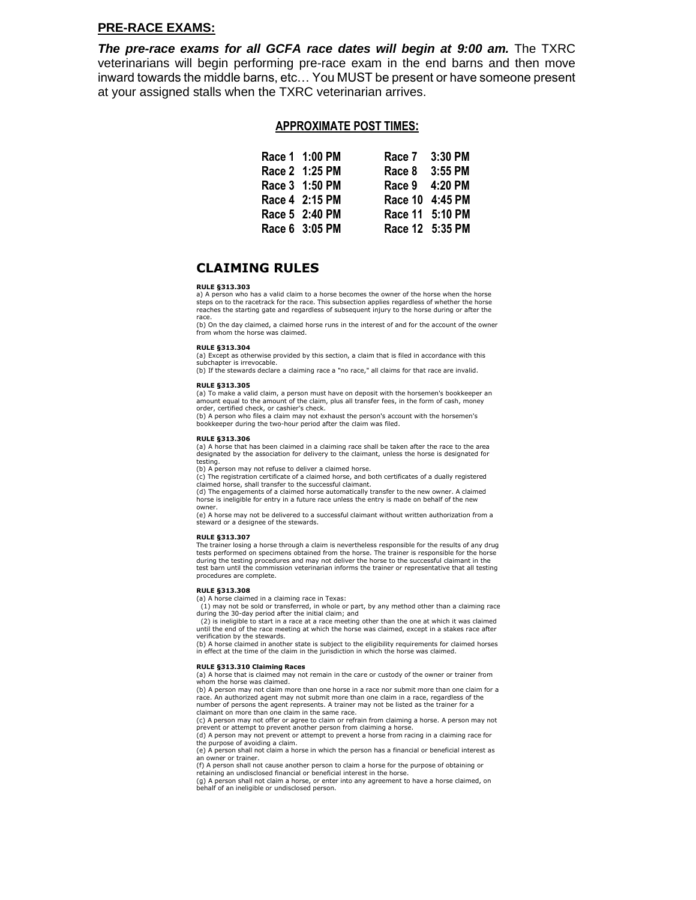#### **PRE-RACE EXAMS:**

*The pre-race exams for all GCFA race dates will begin at 9:00 am.* The TXRC veterinarians will begin performing pre-race exam in the end barns and then move inward towards the middle barns, etc… You MUST be present or have someone present at your assigned stalls when the TXRC veterinarian arrives.

#### **APPROXIMATE POST TIMES:**

| Race 1 1:00 PM | Race 7          | $3:30$ PM |
|----------------|-----------------|-----------|
| Race 2 1:25 PM | Race 8 3:55 PM  |           |
| Race 3 1:50 PM | Race 9 4:20 PM  |           |
| Race 4 2:15 PM | Race 10 4:45 PM |           |
| Race 5 2:40 PM | Race 11 5:10 PM |           |
| Race 6 3:05 PM | Race 12 5:35 PM |           |

#### **CLAIMING RULES**

#### **RULE §313.303**

a) A person who has a valid claim to a horse becomes the owner of the horse when the horse steps on to the racetrack for the race. This subsection applies regardless of whether the horse reaches the starting gate and regardless of subsequent injury to the horse during or after the race.

(b) On the day claimed, a claimed horse runs in the interest of and for the account of the owner from whom the horse was claimed.

#### **RULE §313.304**

(a) Except as otherwise provided by this section, a claim that is filed in accordance with this subchapter is irrevocable.

(b) If the stewards declare a claiming race a "no race," all claims for that race are invalid.

#### **RULE §313.305**

(a) To make a valid claim, a person must have on deposit with the horsemen's bookkeeper an amount equal to the amount of the claim, plus all transfer fees, in the form of cash, money order, certified check, or cashier's check.

(b) A person who files a claim may not exhaust the person's account with the horsemen's bookkeeper during the two-hour period after the claim was filed.

#### **RULE §313.306**

(a) A horse that has been claimed in a claiming race shall be taken after the race to the area designated by the association for delivery to the claimant, unless the horse is designated for testing.

(b) A person may not refuse to deliver a claimed horse.

(c) The registration certificate of a claimed horse, and both certificates of a dually registered claimed horse, shall transfer to the successful claimant.

(d) The engagements of a claimed horse automatically transfer to the new owner. A claimed horse is ineligible for entry in a future race unless the entry is made on behalf of the new owner.

(e) A horse may not be delivered to a successful claimant without written authorization from a steward or a designee of the stewards.

#### **RULE §313.307**

The trainer losing a horse through a claim is nevertheless responsible for the results of any drug tests performed on specimens obtained from the horse. The trainer is responsible for the horse during the testing procedures and may not deliver the horse to the successful claimant in the test barn until the commission veterinarian informs the trainer or representative that all testing procedures are complete.

#### **RULE §313.308**

(a) A horse claimed in a claiming race in Texas:

(1) may not be sold or transferred, in whole or part, by any method other than a claiming race during the 30-day period after the initial claim; and (2) is ineligible to start in a race at a race meeting other than the one at which it was claimed

until the end of the race meeting at which the horse was claimed, except in a stakes race after verification by the stewards.

(b) A horse claimed in another state is subject to the eligibility requirements for claimed horses in effect at the time of the claim in the jurisdiction in which the horse was claimed.

#### **RULE §313.310 Claiming Races**

(a) A horse that is claimed may not remain in the care or custody of the owner or trainer from whom the horse was claimed.

(b) A person may not claim more than one horse in a race nor submit more than one claim for a race. An authorized agent may not submit more than one claim in a race, regardless of the number of persons the agent represents. A trainer may not be listed as the trainer for a claimant on more than one claim in the same race.

(c) A person may not offer or agree to claim or refrain from claiming a horse. A person may not

prevent or attempt to prevent another person from claiming a horse. (d) A person may not prevent or attempt to prevent a horse from racing in a claiming race for the purpose of avoiding a claim.

(e) A person shall not claim a horse in which the person has a financial or beneficial interest as an owner or trainer. (f) A person shall not cause another person to claim a horse for the purpose of obtaining or

retaining an undisclosed financial or beneficial interest in the horse.

(g) A person shall not claim a horse, or enter into any agreement to have a horse claimed, on behalf of an ineligible or undisclosed person.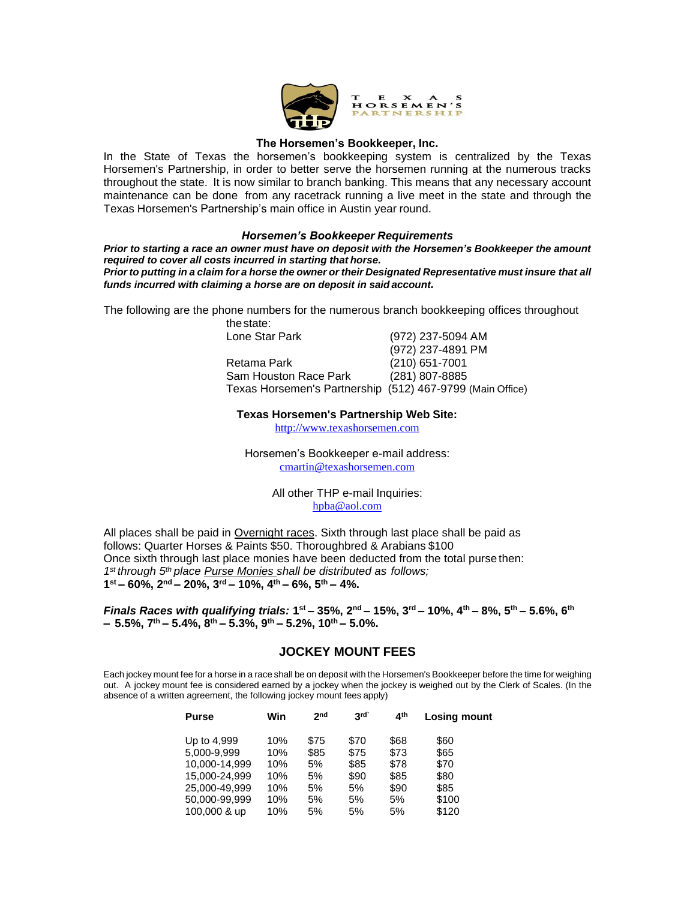

#### **The Horsemen's Bookkeeper, Inc.**

In the State of Texas the horsemen's bookkeeping system is centralized by the Texas Horsemen's Partnership, in order to better serve the horsemen running at the numerous tracks throughout the state. It is now similar to branch banking. This means that any necessary account maintenance can be done from any racetrack running a live meet in the state and through the Texas Horsemen's Partnership's main office in Austin year round.

#### *Horsemen's Bookkeeper Requirements*

*Prior to starting a race an owner must have on deposit with the Horsemen's Bookkeeper the amount required to cover all costs incurred in starting that horse.* Prior to putting in a claim for a horse the owner or their Designated Representative must insure that all

The following are the phone numbers for the numerous branch bookkeeping offices throughout

*funds incurred with claiming a horse are on deposit in said account.*

| (972) 237-5094 AM                                         |
|-----------------------------------------------------------|
| (972) 237-4891 PM                                         |
| $(210)$ 651-7001                                          |
| (281) 807-8885                                            |
| Texas Horsemen's Partnership (512) 467-9799 (Main Office) |
|                                                           |

#### **Texas Horsemen's Partnership Web Site:**

[http://www.texashorsemen.com](http://www.texashorsemen.com/)

Horsemen's Bookkeeper e-mail address: [cmartin@texashorsemen.com](mailto:cmartin@texashorsemen.com)

> All other THP e-mail Inquiries: [hpba@aol.com](mailto:hpba@aol.com)

All places shall be paid in Overnight races. Sixth through last place shall be paid as follows: Quarter Horses & Paints \$50. Thoroughbred & Arabians \$100 Once sixth through last place monies have been deducted from the total purse then: *1 st through 5th place Purse Monies shall be distributed as follows;* **1 st – 60%, 2nd – 20%, 3rd – 10%, 4th – 6%, 5th – 4%.**

*Finals Races with qualifying trials:* **1 st – 35%, 2nd – 15%, 3rd – 10%, 4th – 8%, 5th – 5.6%, 6th – 5.5%, 7 th – 5.4%, 8th – 5.3%, 9th – 5.2%, 10th – 5.0%.** 

#### **JOCKEY MOUNT FEES**

Each jockey mount fee for a horse in a race shall be on deposit with the Horsemen's Bookkeeper before the time for weighing out. A jockey mount fee is considered earned by a jockey when the jockey is weighed out by the Clerk of Scales. (In the absence of a written agreement, the following jockey mount fees apply)

| <b>Purse</b>  | Win | 2 <sub>nd</sub> | 3rd  | ⊿th  | Losing mount |
|---------------|-----|-----------------|------|------|--------------|
| Up to 4,999   | 10% | \$75            | \$70 | \$68 | \$60         |
| 5,000-9,999   | 10% | \$85            | \$75 | \$73 | \$65         |
| 10.000-14.999 | 10% | 5%              | \$85 | \$78 | \$70         |
| 15.000-24.999 | 10% | 5%              | \$90 | \$85 | \$80         |
| 25,000-49,999 | 10% | 5%              | 5%   | \$90 | \$85         |
| 50,000-99,999 | 10% | 5%              | 5%   | 5%   | \$100        |
| 100,000 & up  | 10% | 5%              | 5%   | 5%   | \$120        |